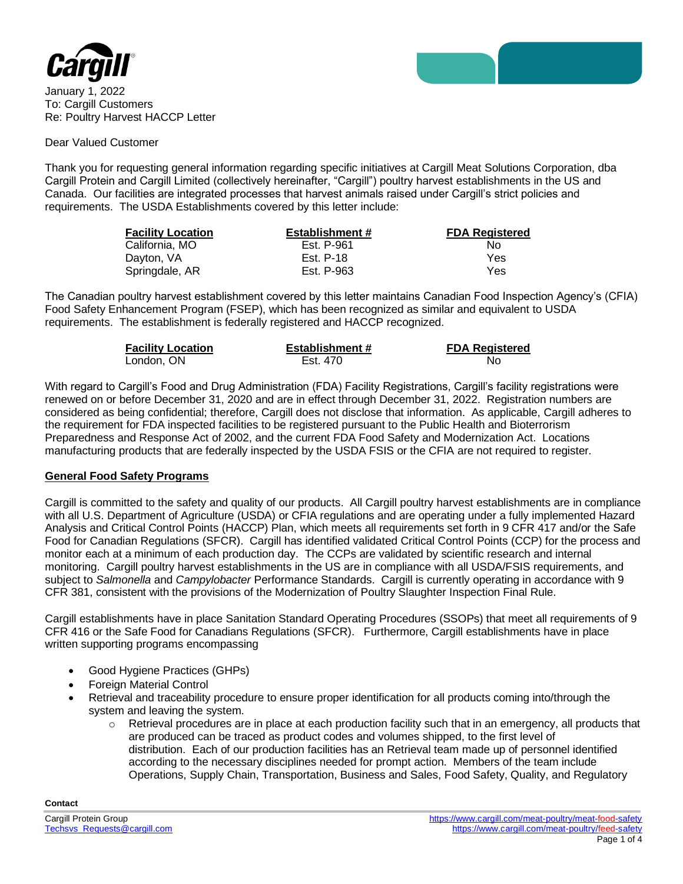

January 1, 2022 To: Cargill Customers Re: Poultry Harvest HACCP Letter

#### Dear Valued Customer

Thank you for requesting general information regarding specific initiatives at Cargill Meat Solutions Corporation, dba Cargill Protein and Cargill Limited (collectively hereinafter, "Cargill") poultry harvest establishments in the US and Canada. Our facilities are integrated processes that harvest animals raised under Cargill's strict policies and requirements. The USDA Establishments covered by this letter include:

| <b>Facility Location</b> | <b>Establishment #</b> | <b>FDA Registered</b> |
|--------------------------|------------------------|-----------------------|
| California. MO           | Est. P-961             | No.                   |
| Dayton, VA               | Est. P-18              | Yes                   |
| Springdale, AR           | Est. P-963             | Yes                   |

The Canadian poultry harvest establishment covered by this letter maintains Canadian Food Inspection Agency's (CFIA) Food Safety Enhancement Program (FSEP), which has been recognized as similar and equivalent to USDA requirements. The establishment is federally registered and HACCP recognized.

| <b>Facility Location</b> | <b>Establishment #</b> | <b>FDA Registered</b> |
|--------------------------|------------------------|-----------------------|
| London, ON               | Est. 470               | No                    |

With regard to Cargill's Food and Drug Administration (FDA) Facility Registrations, Cargill's facility registrations were renewed on or before December 31, 2020 and are in effect through December 31, 2022. Registration numbers are considered as being confidential; therefore, Cargill does not disclose that information. As applicable, Cargill adheres to the requirement for FDA inspected facilities to be registered pursuant to the Public Health and Bioterrorism Preparedness and Response Act of 2002, and the current FDA Food Safety and Modernization Act. Locations manufacturing products that are federally inspected by the USDA FSIS or the CFIA are not required to register.

## **General Food Safety Programs**

Cargill is committed to the safety and quality of our products. All Cargill poultry harvest establishments are in compliance with all U.S. Department of Agriculture (USDA) or CFIA regulations and are operating under a fully implemented Hazard Analysis and Critical Control Points (HACCP) Plan, which meets all requirements set forth in 9 CFR 417 and/or the Safe Food for Canadian Regulations (SFCR). Cargill has identified validated Critical Control Points (CCP) for the process and monitor each at a minimum of each production day. The CCPs are validated by scientific research and internal monitoring. Cargill poultry harvest establishments in the US are in compliance with all USDA/FSIS requirements, and subject to *Salmonella* and *Campylobacter* Performance Standards.Cargill is currently operating in accordance with 9 CFR 381, consistent with the provisions of the Modernization of Poultry Slaughter Inspection Final Rule.

Cargill establishments have in place Sanitation Standard Operating Procedures (SSOPs) that meet all requirements of 9 CFR 416 or the Safe Food for Canadians Regulations (SFCR). Furthermore, Cargill establishments have in place written supporting programs encompassing

- Good Hygiene Practices (GHPs)
- Foreign Material Control
- Retrieval and traceability procedure to ensure proper identification for all products coming into/through the system and leaving the system.
	- o Retrieval procedures are in place at each production facility such that in an emergency, all products that are produced can be traced as product codes and volumes shipped, to the first level of distribution. Each of our production facilities has an Retrieval team made up of personnel identified according to the necessary disciplines needed for prompt action. Members of the team include Operations, Supply Chain, Transportation, Business and Sales, Food Safety, Quality, and Regulatory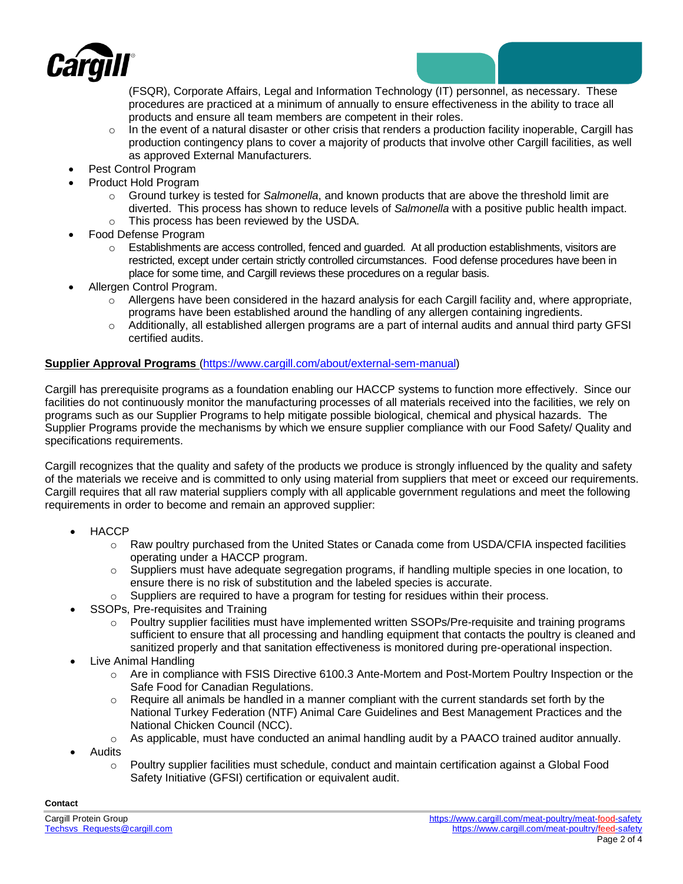

(FSQR), Corporate Affairs, Legal and Information Technology (IT) personnel, as necessary. These procedures are practiced at a minimum of annually to ensure effectiveness in the ability to trace all products and ensure all team members are competent in their roles.

- $\circ$  In the event of a natural disaster or other crisis that renders a production facility inoperable, Cargill has production contingency plans to cover a majority of products that involve other Cargill facilities, as well as approved External Manufacturers.
- Pest Control Program
- Product Hold Program
	- o Ground turkey is tested for *Salmonella*, and known products that are above the threshold limit are diverted. This process has shown to reduce levels of *Salmonella* with a positive public health impact. o This process has been reviewed by the USDA.
	- Food Defense Program
		- $\circ$  Establishments are access controlled, fenced and quarded. At all production establishments, visitors are restricted, except under certain strictly controlled circumstances. Food defense procedures have been in place for some time, and Cargill reviews these procedures on a regular basis.
- Allergen Control Program.
	- $\circ$  Allergens have been considered in the hazard analysis for each Cargill facility and, where appropriate, programs have been established around the handling of any allergen containing ingredients.
	- o Additionally, all established allergen programs are a part of internal audits and annual third party GFSI certified audits.

## **Supplier Approval Programs** [\(https://www.cargill.com/about/external-sem-manual\)](https://www.cargill.com/about/external-sem-manual)

Cargill has prerequisite programs as a foundation enabling our HACCP systems to function more effectively. Since our facilities do not continuously monitor the manufacturing processes of all materials received into the facilities, we rely on programs such as our Supplier Programs to help mitigate possible biological, chemical and physical hazards. The Supplier Programs provide the mechanisms by which we ensure supplier compliance with our Food Safety/ Quality and specifications requirements.

Cargill recognizes that the quality and safety of the products we produce is strongly influenced by the quality and safety of the materials we receive and is committed to only using material from suppliers that meet or exceed our requirements. Cargill requires that all raw material suppliers comply with all applicable government regulations and meet the following requirements in order to become and remain an approved supplier:

- HACCP
	- o Raw poultry purchased from the United States or Canada come from USDA/CFIA inspected facilities operating under a HACCP program.
	- o Suppliers must have adequate segregation programs, if handling multiple species in one location, to ensure there is no risk of substitution and the labeled species is accurate.
		- Suppliers are required to have a program for testing for residues within their process.
- SSOPs, Pre-requisites and Training
	- $\circ$  Poultry supplier facilities must have implemented written SSOPs/Pre-requisite and training programs sufficient to ensure that all processing and handling equipment that contacts the poultry is cleaned and sanitized properly and that sanitation effectiveness is monitored during pre-operational inspection.
- Live Animal Handling
	- o Are in compliance with FSIS Directive 6100.3 Ante-Mortem and Post-Mortem Poultry Inspection or the Safe Food for Canadian Regulations.
	- o Require all animals be handled in a manner compliant with the current standards set forth by the National Turkey Federation (NTF) Animal Care Guidelines and Best Management Practices and the National Chicken Council (NCC).
	- $\circ$  As applicable, must have conducted an animal handling audit by a PAACO trained auditor annually.
- Audits
	- $\circ$  Poultry supplier facilities must schedule, conduct and maintain certification against a Global Food Safety Initiative (GFSI) certification or equivalent audit.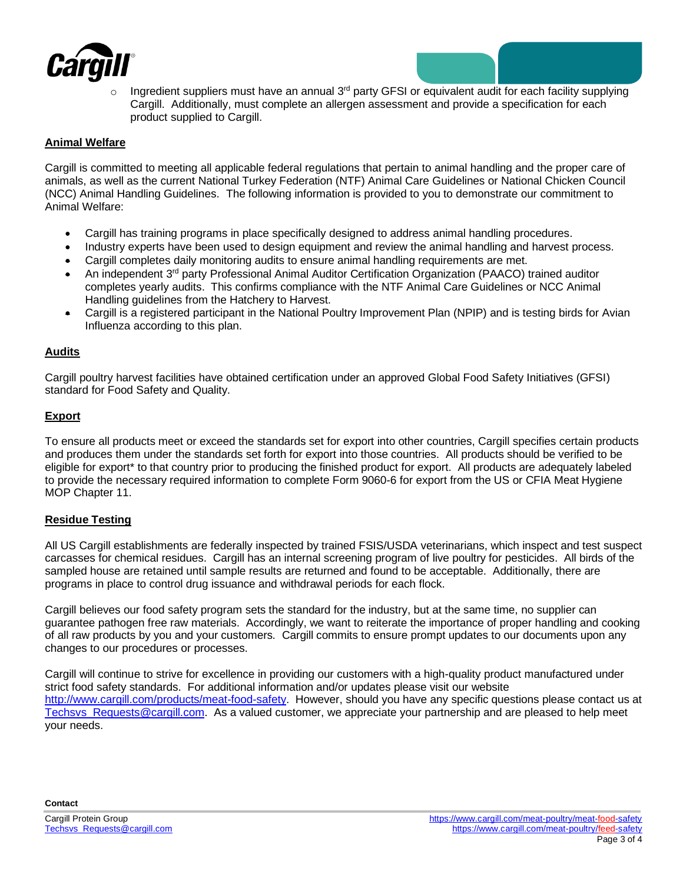

Ingredient suppliers must have an annual  $3<sup>rd</sup>$  party GFSI or equivalent audit for each facility supplying Cargill. Additionally, must complete an allergen assessment and provide a specification for each product supplied to Cargill.

## **Animal Welfare**

Cargill is committed to meeting all applicable federal regulations that pertain to animal handling and the proper care of animals, as well as the current National Turkey Federation (NTF) Animal Care Guidelines or National Chicken Council (NCC) Animal Handling Guidelines. The following information is provided to you to demonstrate our commitment to Animal Welfare:

- Cargill has training programs in place specifically designed to address animal handling procedures.
- Industry experts have been used to design equipment and review the animal handling and harvest process.
- Cargill completes daily monitoring audits to ensure animal handling requirements are met.
- An independent 3rd party Professional Animal Auditor Certification Organization (PAACO) trained auditor completes yearly audits. This confirms compliance with the NTF Animal Care Guidelines or NCC Animal Handling guidelines from the Hatchery to Harvest.
- Cargill is a registered participant in the National Poultry Improvement Plan (NPIP) and is testing birds for Avian Influenza according to this plan.

#### **Audits**

Cargill poultry harvest facilities have obtained certification under an approved Global Food Safety Initiatives (GFSI) standard for Food Safety and Quality.

#### **Export**

To ensure all products meet or exceed the standards set for export into other countries, Cargill specifies certain products and produces them under the standards set forth for export into those countries. All products should be verified to be eligible for export\* to that country prior to producing the finished product for export. All products are adequately labeled to provide the necessary required information to complete Form 9060-6 for export from the US or CFIA Meat Hygiene MOP Chapter 11.

#### **Residue Testing**

All US Cargill establishments are federally inspected by trained FSIS/USDA veterinarians, which inspect and test suspect carcasses for chemical residues. Cargill has an internal screening program of live poultry for pesticides. All birds of the sampled house are retained until sample results are returned and found to be acceptable. Additionally, there are programs in place to control drug issuance and withdrawal periods for each flock.

Cargill believes our food safety program sets the standard for the industry, but at the same time, no supplier can guarantee pathogen free raw materials. Accordingly, we want to reiterate the importance of proper handling and cooking of all raw products by you and your customers. Cargill commits to ensure prompt updates to our documents upon any changes to our procedures or processes.

Cargill will continue to strive for excellence in providing our customers with a high-quality product manufactured under strict food safety standards. For additional information and/or updates please visit our website [http://www.cargill.com/products/meat-food-safety.](http://www.cargill.com/products/meat-food-safety) However, should you have any specific questions please contact us at [Techsvs\\_Requests@cargill.com.](mailto:Techsvs_Requests@cargill.com) As a valued customer, we appreciate your partnership and are pleased to help meet your needs.